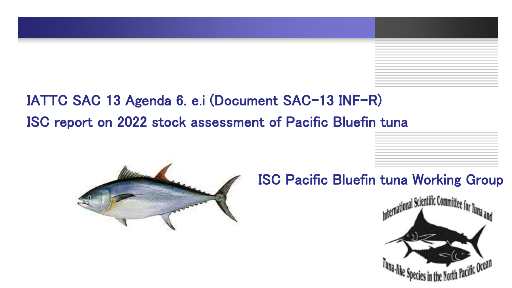## IATTC SAC 13 Agenda 6. e.i (Document SAC-13 INF-R) ISC report on 2022 stock assessment of Pacific Bluefin tuna



#### ISC Pacific Bluefin tuna Working Group

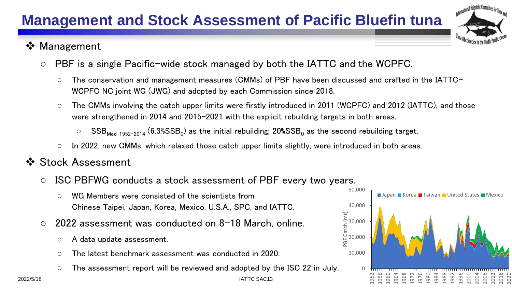# **Management and Stock Assessment of Pacific Bluefin tuna**

#### ❖ Management

- PBF is a single Pacific-wide stock managed by both the IATTC and the WCPFC.
	- The conservation and management measures (CMMs) of PBF have been discussed and crafted in the IATTC-WCPFC NC joint WG (JWG) and adopted by each Commission since 2018.
	- The CMMs involving the catch upper limits were firstly introduced in 2011 (WCPFC) and 2012 (IATTC), and those were strengthened in 2014 and 2015-2021 with the explicit rebuilding targets in both areas.
		- $\circ$  SSB $_{\sf Med}$  <sub>1952-2014</sub> (6.3%SSB<sub>0</sub>) as the initial rebuilding; 20%SSB<sub>0</sub> as the second rebuilding target.

IATTC SAC13

- In 2022, new CMMs, which relaxed those catch upper limits slightly, were introduced in both areas.
- ❖ Stock Assessment
	- ISC PBFWG conducts a stock assessment of PBF every two years.
		- WG Members were consisted of the scientists from Chinese Taipei, Japan, Korea, Mexico, U.S.A., SPC, and IATTC.
	- 2022 assessment was conducted on 8-18 March, online.
		- A data update assessment.
		- The latest benchmark assessment was conducted in 2020.
		- The assessment report will be reviewed and adopted by the ISC 22 in July.

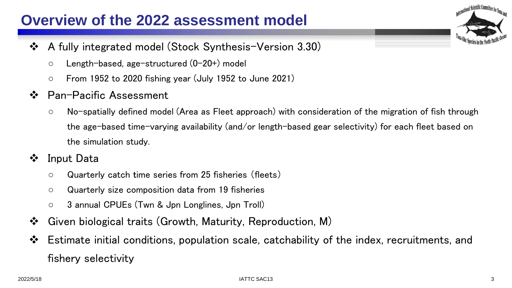#### **Overview of the 2022 assessment model**

- ❖ A fully integrated model (Stock Synthesis-Version 3.30)
	- Length-based, age-structured (0-20+) model
	- $\circ$  From 1952 to 2020 fishing year (July 1952 to June 2021)
- ❖ Pan-Pacific Assessment
	- No-spatially defined model (Area as Fleet approach) with consideration of the migration of fish through the age-based time-varying availability (and/or length-based gear selectivity) for each fleet based on the simulation study.
- ❖ Input Data
	- Quarterly catch time series from 25 fisheries (fleets)
	- Quarterly size composition data from 19 fisheries
	- 3 annual CPUEs (Twn & Jpn Longlines, Jpn Troll)
- ❖ Given biological traits (Growth, Maturity, Reproduction, M)
- ❖ Estimate initial conditions, population scale, catchability of the index, recruitments, and fishery selectivity

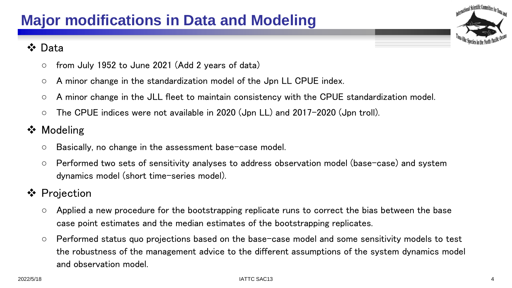#### ❖ Data

- $\circ$  from July 1952 to June 2021 (Add 2 years of data)
- A minor change in the standardization model of the Jpn LL CPUE index.
- A minor change in the JLL fleet to maintain consistency with the CPUE standardization model.
- The CPUE indices were not available in 2020 (Jpn LL) and 2017-2020 (Jpn troll).
- ❖ Modeling
	- Basically, no change in the assessment base-case model.
	- Performed two sets of sensitivity analyses to address observation model (base-case) and system dynamics model (short time-series model).
- ❖ Projection
	- $\circ$  Applied a new procedure for the bootstrapping replicate runs to correct the bias between the base case point estimates and the median estimates of the bootstrapping replicates.
	- Performed status quo projections based on the base-case model and some sensitivity models to test the robustness of the management advice to the different assumptions of the system dynamics model and observation model.

International Scientific Committee for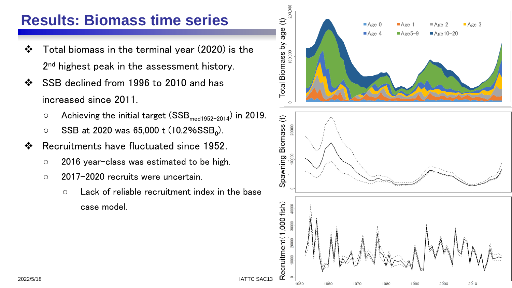#### **Results: Biomass time series**

- ❖ Total biomass in the terminal year (2020) is the 2<sup>nd</sup> highest peak in the assessment history.
- ❖ SSB declined from 1996 to 2010 and has increased since 2011.
	- $\circ$  Achieving the initial target (SSB<sub>med1952-2014</sub>) in 2019.
	- $\circ$  SSB at 2020 was 65,000 t (10.2%SSB<sub>0</sub>).
- ❖ Recruitments have fluctuated since 1952.
	- 2016 year-class was estimated to be high.
	- 2017-2020 recruits were uncertain.
		- Lack of reliable recruitment index in the base case model.



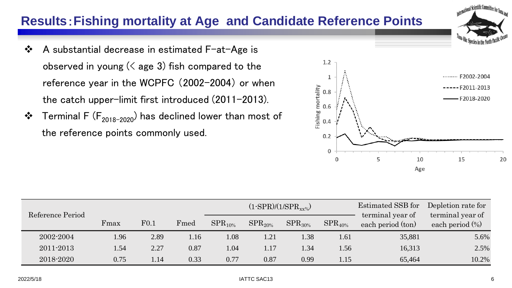#### **Results**:**Fishing mortality at Age and Candidate Reference Points**

- ❖ A substantial decrease in estimated F-at-Age is observed in young  $($  age 3) fish compared to the reference year in the WCPFC (2002-2004) or when the catch upper-limit first introduced (2011-2013).
- ❖ Terminal F ( $F_{2018-2020}$ ) has declined lower than most of the reference points commonly used.

| Reference Period | $(1-SPR)/(1/SPR_{xx\%})$ |      |      |              |              |              |              | Estimated SSB for<br>terminal year of | Depletion rate for<br>terminal year of |  |
|------------------|--------------------------|------|------|--------------|--------------|--------------|--------------|---------------------------------------|----------------------------------------|--|
|                  | Fmax                     | F0.1 | Fmed | $SPR_{10\%}$ | $SPR_{20\%}$ | $SPR_{30\%}$ | $SPR_{40\%}$ | each period (ton)                     | each period $(\%)$                     |  |
| 2002-2004        | 1.96                     | 2.89 | 1.16 | 1.08         | 1.21         | 1.38         | 1.61         | 35,881                                | 5.6%                                   |  |
| 2011-2013        | 1.54                     | 2.27 | 0.87 | 1.04         | 1.17         | 1.34         | l.56         | 16,313                                | 2.5%                                   |  |
| 2018-2020        | 0.75                     | 1.14 | 0.33 | 0.77         | 0.87         | 0.99         | 1.15         | 65,464                                | 10.2%                                  |  |



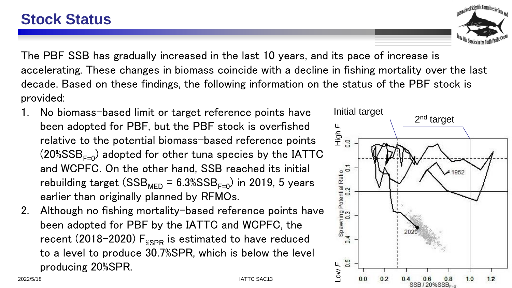The PBF SSB has gradually increased in the last 10 years, and its pace of increase is accelerating. These changes in biomass coincide with a decline in fishing mortality over the last decade. Based on these findings, the following information on the status of the PBF stock is provided:

- 1. No biomass-based limit or target reference points have been adopted for PBF, but the PBF stock is overfished relative to the potential biomass-based reference points  $(20\%SSB_{F=0})$  adopted for other tuna species by the IATTC and WCPFC. On the other hand, SSB reached its initial rebuilding target (SSB<sub>MED</sub> =  $6.3\%$ SSB<sub>F=0</sub>) in 2019, 5 years earlier than originally planned by RFMOs.
- 2. Although no fishing mortality-based reference points have been adopted for PBF by the IATTC and WCPFC, the recent (2018-2020)  $F_{\gamma_{\rm SBR}}$  is estimated to have reduced to a level to produce 30.7%SPR, which is below the level producing 20%SPR.



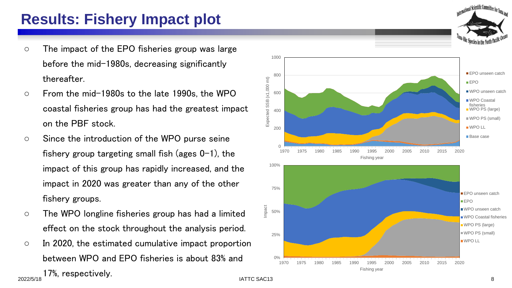## **Results: Fishery Impact plot**

- The impact of the EPO fisheries group was large before the mid-1980s, decreasing significantly thereafter.
- From the mid-1980s to the late 1990s, the WPO coastal fisheries group has had the greatest impact on the PBF stock.
- Since the introduction of the WPO purse seine fishery group targeting small fish (ages  $0-1$ ), the impact of this group has rapidly increased, and the impact in 2020 was greater than any of the other fishery groups.
- The WPO longline fisheries group has had a limited effect on the stock throughout the analysis period.
- In 2020, the estimated cumulative impact proportion between WPO and EPO fisheries is about 83% and





17%, respectively.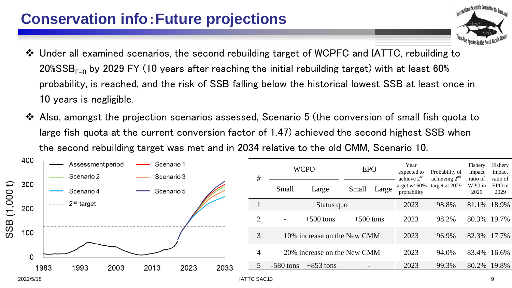### **Conservation info**:**Future projections**

- ❖ Under all examined scenarios, the second rebuilding target of WCPFC and IATTC, rebuilding to 20%SSB $_{F=0}$  by 2029 FY (10 years after reaching the initial rebuilding target) with at least 60% probability, is reached, and the risk of SSB falling below the historical lowest SSB at least once in 10 years is negligible.
- ❖ Also, amongst the projection scenarios assessed, Scenario 5 (the conversion of small fish quota to large fish quota at the current conversion factor of 1.47) achieved the second highest SSB when the second rebuilding target was met and in 2034 relative to the old CMM, Scenario 10.



ernational Scientific Committee for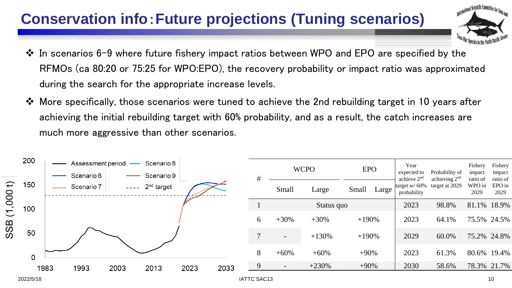## **Conservation info**:**Future projections (Tuning scenarios)**



- ❖ In scenarios 6-9 where future fishery impact ratios between WPO and EPO are specified by the RFMOs (ca 80:20 or 75:25 for WPO:EPO), the recovery probability or impact ratio was approximated during the search for the appropriate increase levels.
- ❖ More specifically, those scenarios were tuned to achieve the 2nd rebuilding target in 10 years after achieving the initial rebuilding target with 60% probability, and as a result, the catch increases are much more aggressive than other scenarios.

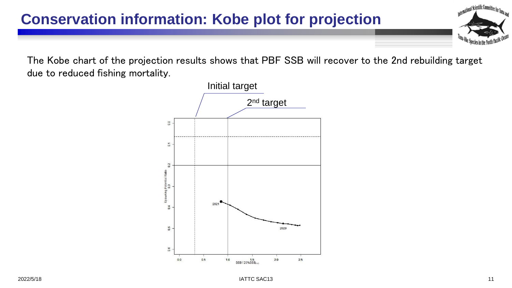#### **Conservation information: Kobe plot for projection**

The Kobe chart of the projection results shows that PBF SSB will recover to the 2nd rebuilding target due to reduced fishing mortality.



International Scientific Committee for Tuna and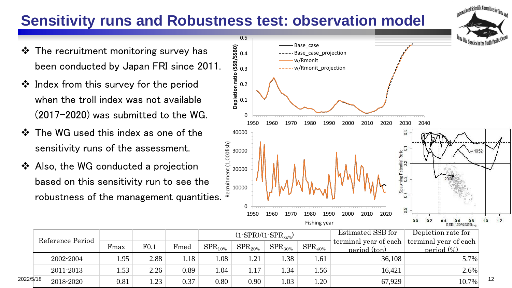## **Sensitivity runs and Robustness test: observation model**

- ❖ The recruitment monitoring survey has been conducted by Japan FRI since 2011.
- ❖ Index from this survey for the period when the troll index was not available (2017-2020) was submitted to the WG.
- ❖ The WG used this index as one of the sensitivity runs of the assessment.
- ❖ Also, the WG conducted a projection based on this sensitivity run to see the robustness of the management quantities.



International Scientific Committee

|           |                  |      |      |      |              |              | $(1-SPR)/(1-SPR_{xy\%})$ |              | Estimated SSB for                     | Depletion rate for                                |    |
|-----------|------------------|------|------|------|--------------|--------------|--------------------------|--------------|---------------------------------------|---------------------------------------------------|----|
|           | Reference Period | Fmax | F0.1 | Fmed | $SPR_{10\%}$ | $SPR_{20\%}$ | $SPR_{30\%}$             | $SPR_{40\%}$ | terminal year of each<br>neriod (ton) | terminal year of each<br>neriod $\left(\%\right)$ |    |
|           | 2002-2004        | .95  | 2.88 | l.18 | .08          | . 21         | .38                      | 1.61         | 36,108                                | $5.7\%$                                           |    |
|           | 2011-2013        | .53  | 2.26 | 0.89 | .04          | 1.17         | .34                      | 1.56         | 16,421                                | $2.6\%$                                           |    |
| 2022/5/18 | 2018-2020        | 0.81 | 1.23 | 0.37 | 0.80         | 0.90         | .03                      | 1.20         | 67,929                                | 10.7%                                             | 12 |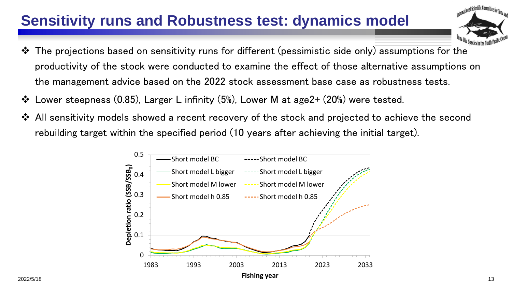## **Sensitivity runs and Robustness test: dynamics model**

- ternational Scientific Committee for
- ❖ The projections based on sensitivity runs for different (pessimistic side only) assumptions for the productivity of the stock were conducted to examine the effect of those alternative assumptions on the management advice based on the 2022 stock assessment base case as robustness tests.
- ❖ Lower steepness (0.85), Larger L infinity (5%), Lower M at age2+ (20%) were tested.
- ❖ All sensitivity models showed a recent recovery of the stock and projected to achieve the second rebuilding target within the specified period (10 years after achieving the initial target).

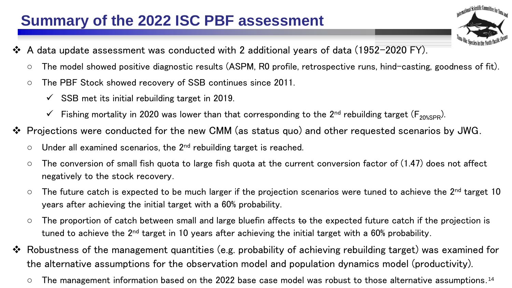## **Summary of the 2022 ISC PBF assessment**

- ❖ A data update assessment was conducted with 2 additional years of data (1952-2020 FY).
	- The model showed positive diagnostic results (ASPM, R0 profile, retrospective runs, hind-casting, goodness of fit).

<sub>tional</sub> Scientific Committee f

- The PBF Stock showed recovery of SSB continues since 2011.
	- $\checkmark$  SSB met its initial rebuilding target in 2019.
	- $\checkmark$  Fishing mortality in 2020 was lower than that corresponding to the 2<sup>nd</sup> rebuilding target (F<sub>20%SPR</sub>).
- ❖ Projections were conducted for the new CMM (as status quo) and other requested scenarios by JWG.
	- $\circ$  Under all examined scenarios, the 2<sup>nd</sup> rebuilding target is reached.
	- $\circ$  The conversion of small fish quota to large fish quota at the current conversion factor of (1.47) does not affect negatively to the stock recovery.
	- $\circ$  The future catch is expected to be much larger if the projection scenarios were tuned to achieve the 2<sup>nd</sup> target 10 years after achieving the initial target with a 60% probability.
	- $\circ$  The proportion of catch between small and large bluefin affects to the expected future catch if the projection is tuned to achieve the 2<sup>nd</sup> target in 10 years after achieving the initial target with a 60% probability.
- ❖ Robustness of the management quantities (e.g. probability of achieving rebuilding target) was examined for the alternative assumptions for the observation model and population dynamics model (productivity).
	- $\circ$  The management information based on the 2022 base case model was robust to those alternative assumptions. 14